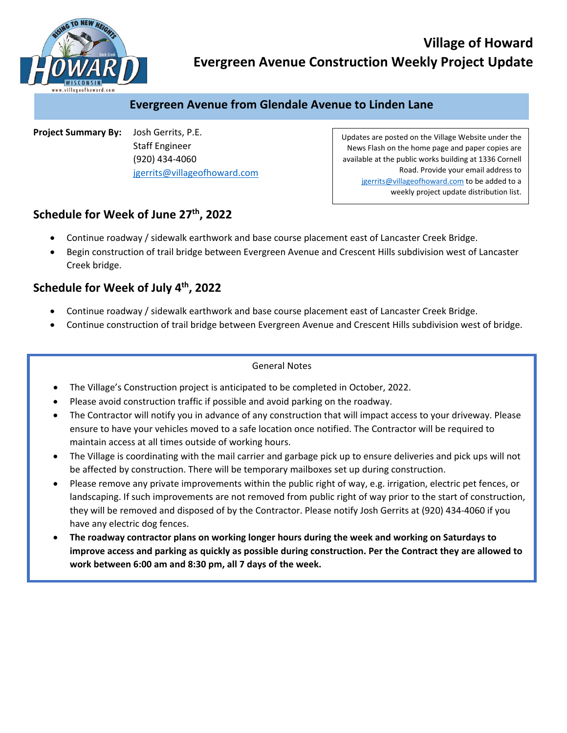

# **Village of Howard Evergreen Avenue Construction Weekly Project Update**

### **Evergreen Avenue from Glendale Avenue to Linden Lane**

**Project Summary By:**  Josh Gerrits, P.E. Staff Engineer (920) 434‐4060 jgerrits@villageofhoward.com

Updates are posted on the Village Website under the News Flash on the home page and paper copies are available at the public works building at 1336 Cornell Road. Provide your email address to jgerrits@villageofhoward.com to be added to a weekly project update distribution list.

## Schedule for Week of June 27<sup>th</sup>, 2022

- Continue roadway / sidewalk earthwork and base course placement east of Lancaster Creek Bridge.
- Begin construction of trail bridge between Evergreen Avenue and Crescent Hills subdivision west of Lancaster Creek bridge.

#### **Schedule for Week of July 4th, 2022**

- Continue roadway / sidewalk earthwork and base course placement east of Lancaster Creek Bridge.
- Continue construction of trail bridge between Evergreen Avenue and Crescent Hills subdivision west of bridge.

#### General Notes

- The Village's Construction project is anticipated to be completed in October, 2022.
- Please avoid construction traffic if possible and avoid parking on the roadway.
- The Contractor will notify you in advance of any construction that will impact access to your driveway. Please ensure to have your vehicles moved to a safe location once notified. The Contractor will be required to maintain access at all times outside of working hours.
- The Village is coordinating with the mail carrier and garbage pick up to ensure deliveries and pick ups will not be affected by construction. There will be temporary mailboxes set up during construction.
- Please remove any private improvements within the public right of way, e.g. irrigation, electric pet fences, or landscaping. If such improvements are not removed from public right of way prior to the start of construction, they will be removed and disposed of by the Contractor. Please notify Josh Gerrits at (920) 434‐4060 if you have any electric dog fences.
- **The roadway contractor plans on working longer hours during the week and working on Saturdays to improve access and parking as quickly as possible during construction. Per the Contract they are allowed to work between 6:00 am and 8:30 pm, all 7 days of the week.**